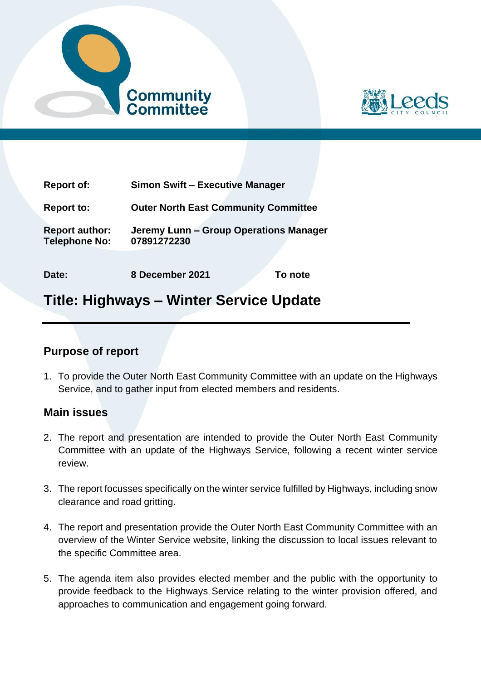



| <b>Report of:</b>                             | <b>Simon Swift - Executive Manager</b>                |
|-----------------------------------------------|-------------------------------------------------------|
| <b>Report to:</b>                             | <b>Outer North East Community Committee</b>           |
| <b>Report author:</b><br><b>Telephone No:</b> | Jeremy Lunn - Group Operations Manager<br>07891272230 |
| Date:                                         | 8 December 2021<br>To note                            |

## **Title: Highways – Winter Service Update**

## **Purpose of report**

1. To provide the Outer North East Community Committee with an update on the Highways Service, and to gather input from elected members and residents.

## **Main issues**

- 2. The report and presentation are intended to provide the Outer North East Community Committee with an update of the Highways Service, following a recent winter service review.
- 3. The report focusses specifically on the winter service fulfilled by Highways, including snow clearance and road gritting.
- 4. The report and presentation provide the Outer North East Community Committee with an overview of the Winter Service website, linking the discussion to local issues relevant to the specific Committee area.
- 5. The agenda item also provides elected member and the public with the opportunity to provide feedback to the Highways Service relating to the winter provision offered, and approaches to communication and engagement going forward.